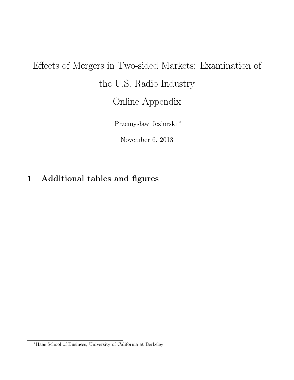## Effects of Mergers in Two-sided Markets: Examination of the U.S. Radio Industry Online Appendix

Przemysław Jeziorski <sup>\*</sup>

November 6, 2013

## 1 Additional tables and figures

<sup>∗</sup>Haas School of Business, University of California at Berkeley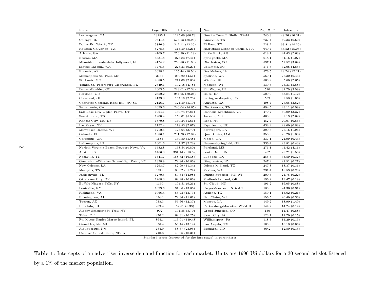| Name                                    | Pop. 2007 | Intercept       | Name                            | Pop. 2007 | Intercept     |
|-----------------------------------------|-----------|-----------------|---------------------------------|-----------|---------------|
| Los Angeles, CA                         | 13155.1   | 1125.69 (66.73) | Omaha-Council Bluffs, NE-IA     | 740.3     | 48.26 (10.31) |
| Chicago, IL                             | 9341.4    | 573.13 (38.96)  | Knoxville, TN                   | 737.4     | 49.33(6.60)   |
| Dallas-Ft. Worth, TX                    | 5846.9    | 342.11 (12.35)  | El Paso, TX                     | 728.2     | 63.81 (14.30) |
| Houston-Galveston, TX                   | 5278.5    | 315.59(8.21)    | Harrisburg-Lebanon-Carlisle, PA | 649.4     | 43.52(15.05)  |
| Atlanta, GA                             | 4709.7    | 256.30 (21.19)  | Little Rock, AR                 | 618.7     | 44.43 (7.63)  |
| Boston, MA                              | 4531.8    | 278.83 (7.41)   | Springfield, MA                 | 618.1     | 34.16 (1.07)  |
| Miami-Ft. Lauderdale-Hollywood, FL      | 4174.2    | 268.86 (11.93)  | Charleston, SC                  | 597.7     | 52.52(3.69)   |
| Seattle-Tacoma, WA                      | 3775.5    | 228.33 (9.27)   | Columbia, SC                    | 576.6     | 42.08(4.85)   |
| Phoenix, AZ                             | 3638.1    | 165.44 (10.50)  | Des Moines, IA                  | 576.5     | 29.74 (12.21) |
| Minneapolis-St. Paul, MN                | 3155      | 230.20 (4.51)   | Spokane, WA                     | 569.1     | 26.30 (6.43)  |
| St. Louis, MO                           | 2688.5    | 211.09 (2.80)   | Wichita, KS                     | 563.9     | 35.60 (7.65)  |
| Tampa-St. Petersburg-Clearwater, FL     | 2649.1    | 192.18 (4.78)   | Madison, WI                     | 539.5     | 75.33 (5.68)  |
| Denver-Boulder, CO                      | 2603.5    | 283.61 (17.33)  | Ft. Wayne, IN                   | 520       | 31.79 (3.59)  |
| Portland, OR                            | 2352.2    | 284.25 (30.24)  | Boise, ID                       | 509.9     | 43.84 (1.12)  |
| Cleveland, OH                           | 2133.8    | 167.19(2.20)    | Lexington-Fayette, KY           | 509       | 39.58 (1.06)  |
| Charlotte-Gastonia-Rock Hill, NC-SC     | 2126.7    | 121.59(5.19)    | Augusta, GA                     | 498.4     | 27.65(3.62)   |
| Sacramento, CA                          | 2099.6    | 246.04 (24.65)  | Chattanooga, TN                 | 494.5     | 43.11 (0.99)  |
| Salt Lake City-Ogden-Provo, UT          | 1924.1    | 150.74 (7.81)   | Roanoke-Lynchburg, VA           | 470.7     | 40.09(3.37)   |
| San Antonio, TX                         | 1900.4    | 158.01(5.58)    | Jackson, MS                     | 468.6     | 39.13(2.62)   |
| Kansas City, MO-KS                      | 1870.8    | 140.34 (1.66)   | Reno, NV                        | 452.7     | 70.07 (0.66)  |
| Las Vegas, NV                           | 1752.4    | 118.53(7.07)    | Fayetteville, NC                | 438.9     | 28.60 (0.88)  |
| Milwaukee-Racine, WI                    | 1712.5    | 128.64(3.79)    | Shreveport, LA                  | 399.6     | 25.16(1.96)   |
| Orlando, FL                             | 1686.1    | 231.78 (12.84)  | Quad Cities, IA-IL              | 358.8     | 26.70 (1.88)  |
| Columbus, OH                            | 1685      | 130.80(5.48)    | Macon, GA                       | 337.1     | 24.99(0.44)   |
| Indianapolis, IN                        | 1601.6    | 104.97(2.28)    | Eugene-Springfield, OR          | 336.4     | 23.81(0.43)   |
| Norfolk-Virginia Beach-Newport News, VA | 1582.8    | 158.54(0.80)    | Portland, ME                    | 276.1     | 41.42(4.11)   |
| Austin, TX                              | 1466.3    | 337.14 (318.09) | South Bend, IN                  | 267       | 28.71(1.58)   |
| Nashville, TN                           | 1341.7    | 158.72 (163.83) | Lubbock, TX                     | 255.3     | 33.59(0.37)   |
| Greensboro-Winston Salem-High Point, NC | 1328.9    | 72.84 (10.86)   | Binghamton, NY                  | 247.9     | 21.51(0.27)   |
| New Orleans, LA                         | 1293.7    | 82.99 (11.34)   | Odessa-Midland, TX              | 247.8     | 18.37(0.31)   |
| Memphis, TN                             | 1278      | 83.32 (31.29)   | Yakima, WA                      | 231.4     | 18.53(0.23)   |
| Jacksonville, FL                        | 1270.5    | 80.84 (14.98)   | Duluth-Superior, MN-WI          | 200.3     | 24.76 (0.22)  |
| Oklahoma City, OK                       | 1268.3    | 64.98 (10.06)   | Medford-Ashland, OR             | 196.2     | 19.47(0.19)   |
| Buffalo-Niagara Falls, NY               | 1150      | 104.51(9.26)    | St. Cloud, MN                   | 191.2     | 16.05(0.88)   |
| Louisville, KY                          | 1099.6    | 91.66(13.86)    | Fargo-Moorhead, ND-MN           | 183.6     | 24.36(0.31)   |
| Richmond, VA                            | 1066.4    | 65.93 (13.73)   | Abilene, TX                     | 159.1     | 15.62(0.21)   |
| Birmingham, AL                          | 1030      | 72.34 (11.61)   | Eau Claire, WI                  | 156.5     | 20.40(0.36)   |
| Tucson, AZ                              | 938.3     | 55.66 (12.37)   | Monroe, LA                      | 149.2     | 18.90(1.40)   |
| Honolulu, HI                            | 909.4     | 62.81(8.33)     | Parkersburg-Marietta, WV-OH     | 149.2     | 14.74 (0.19)  |
| Albany-Schenectady-Troy, NY             | 902       | 101.85(8.79)    | Grand Junction, CO              | 130       | 11.47(0.88)   |
| Tulsa, OK                               | 870.2     | 62.31 (10.25)   | Sioux City, IA                  | 123.7     | 11.70(0.15)   |
| Ft. Myers-Naples-Marco Island, FL       | 864.1     | 113.01 (149.48) | Williamsport, PA                | 118.3     | 11.29(0.15)   |
| Grand Rapids, MI                        | 856.4     | 56.45 (13.14)   | San Angelo, TX                  | 103.8     | 10.18(0.06)   |
| Albuquerque, NM                         | 784.9     | 58.67 (23.95)   | Bismarck, ND                    | 99.2      | 12.80(0.15)   |
| Omaha-Council Bluffs, NE-IA             | 740.3     | 48.26 (10.31)   |                                 |           |               |

Standard errors (corrected for the first stage) in parentheses

Table 1: Intercepts of an advertiser inverse demand function for each market. Units are <sup>1996</sup> US dollars for <sup>a</sup> <sup>30</sup> second ad slot listenedby <sup>a</sup> 1% of the market population.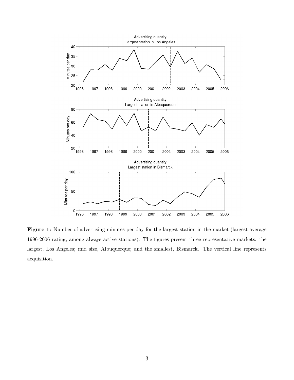

Figure 1: Number of advertising minutes per day for the largest station in the market (largest average 1996-2006 rating, among always active stations). The figures present three representative markets: the largest, Los Angeles; mid size, Albuquerque; and the smallest, Bismarck. The vertical line represents acquisition.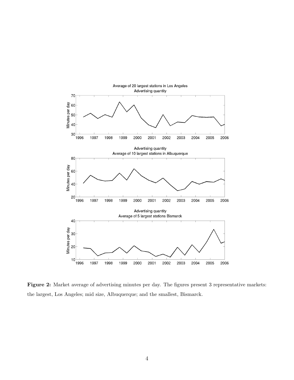

Figure 2: Market average of advertising minutes per day. The figures present 3 representative markets: the largest, Los Angeles; mid size, Albuquerque; and the smallest, Bismarck.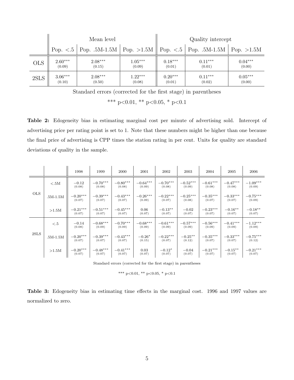|            |           | Mean level                                                          |           | Quality intercept |                                |           |  |  |  |
|------------|-----------|---------------------------------------------------------------------|-----------|-------------------|--------------------------------|-----------|--|--|--|
|            |           | Pop. $\lt 0.5$   Pop. $0.5M - 1.5M$   Pop. $>1.5M$   Pop. $\lt 0.5$ |           |                   | Pop. $.5M-1.5M$   Pop. $>1.5M$ |           |  |  |  |
| <b>OLS</b> | $2.60***$ | $2.08***$                                                           | $1.05***$ | $0.18***$         | $0.11***$                      | $0.04***$ |  |  |  |
|            | (0.09)    | (0.15)                                                              | (0.09)    | (0.01)            | (0.01)                         | (0.00)    |  |  |  |
| 2SLS       | $3.06***$ | $2.08***$                                                           | $1.22***$ | $0.20***$         | $0.11***$                      | $0.05***$ |  |  |  |
|            | (0.10)    | (0.50)                                                              | (0.08)    | (0.01)            | (0.02)                         | (0.00)    |  |  |  |

Standard errors (corrected for the first stage) in parentheses

\*\*\* p<0.01, \*\* p<0.05, \* p<0.1

Table 2: Edogeneity bias in estimating marginal cost per minute of advertising sold. Intercept of advertising price per rating point is set to 1. Note that these numbers might be higher than one because the final price of advertising is CPP times the station rating in per cent. Units for quality are standard deviations of quality in the sample.

|            |            | 1998                 | 1999                 | 2000                 | 2001                 | 2002                 | 2003                 | 2004                 | 2005                 | 2006                 |
|------------|------------|----------------------|----------------------|----------------------|----------------------|----------------------|----------------------|----------------------|----------------------|----------------------|
|            | < 5M       | $-0.12$<br>(0.08)    | $-0.70***$<br>(0.08) | $-0.80***$<br>(0.08) | $-0.64***$<br>(0.09) | $-0.70***$<br>(0.08) | $-0.52***$<br>(0.09) | $-0.61***$<br>(0.08) | $-0.47***$<br>(0.08) | $-1.09***$<br>(0.09) |
| <b>OLS</b> | $.5M-1.5M$ | $-0.20***$<br>(0.07) | $-0.39***$<br>(0.07) | $-0.43***$<br>(0.07) | $-0.26***$<br>(0.09) | $-0.22***$<br>(0.07) | $-0.25***$<br>(0.08) | $-0.35***$<br>(0.07) | $-0.33***$<br>(0.07) | $-0.75***$<br>(0.09) |
|            | $>1.5M$    | $-0.21***$<br>(0.07) | $-0.51***$<br>(0.07) | $-0.45***$<br>(0.07) | 0.06<br>(0.07)       | $-0.13***$<br>(0.07) | $-0.02$<br>(0.07)    | $-0.23***$<br>(0.07) | $-0.16**$<br>(0.07)  | $-0.18**$<br>(0.07)  |
|            | $<\!\!.5$  | $-0.14$<br>(0.08)    | $-0.68***$<br>(0.09) | $-0.70***$<br>(0.09) | $-0.68***$<br>(0.09) | $-0.61***$<br>(0.09) | $-0.57***$<br>(0.09) | $-0.56***$<br>(0.09) | $-0.41***$<br>(0.09) | $-1.12***$<br>(0.09) |
| 2SLS       | $.5M-1.5M$ | $-0.20***$<br>(0.07) | $-0.39***$<br>(0.07) | $-0.43***$<br>(0.07) | $-0.26*$<br>(0.15)   | $-0.22***$<br>(0.07) | $-0.25**$<br>(0.12)  | $-0.35***$<br>(0.07) | $-0.33***$<br>(0.07) | $-0.75***$<br>(0.12) |
|            | >1.5M      | $-0.20***$<br>(0.07) | $-0.48***$<br>(0.07) | $-0.41***$<br>(0.07) | 0.03<br>(0.07)       | $-0.12*$<br>(0.07)   | $-0.04$<br>(0.07)    | $-0.21***$<br>(0.07) | $-0.15***$<br>(0.07) | $-0.21***$<br>(0.07) |

Standard errors (corrected for the first stage) in parentheses

\*\*\* p<0.01, \*\* p<0.05, \* p<0.1

|  | <b>Table 3:</b> Edogeneity bias in estimating time effects in the marginal cost. 1996 and 1997 values are |  |  |  |  |  |  |  |
|--|-----------------------------------------------------------------------------------------------------------|--|--|--|--|--|--|--|
|  | normalized to zero.                                                                                       |  |  |  |  |  |  |  |